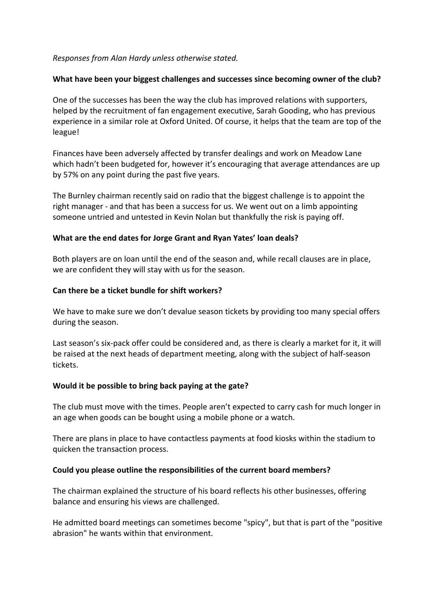#### *Responses from Alan Hardy unless otherwise stated.*

#### **What have been your biggest challenges and successes since becoming owner of the club?**

One of the successes has been the way the club has improved relations with supporters, helped by the recruitment of fan engagement executive, Sarah Gooding, who has previous experience in a similar role at Oxford United. Of course, it helps that the team are top of the league!

Finances have been adversely affected by transfer dealings and work on Meadow Lane which hadn't been budgeted for, however it's encouraging that average attendances are up by 57% on any point during the past five years.

The Burnley chairman recently said on radio that the biggest challenge is to appoint the right manager - and that has been a success for us. We went out on a limb appointing someone untried and untested in Kevin Nolan but thankfully the risk is paying off.

#### **What are the end dates for Jorge Grant and Ryan Yates' loan deals?**

Both players are on loan until the end of the season and, while recall clauses are in place, we are confident they will stay with us for the season.

#### **Can there be a ticket bundle for shift workers?**

We have to make sure we don't devalue season tickets by providing too many special offers during the season.

Last season's six-pack offer could be considered and, as there is clearly a market for it, it will be raised at the next heads of department meeting, along with the subject of half-season tickets.

#### **Would it be possible to bring back paying at the gate?**

The club must move with the times. People aren't expected to carry cash for much longer in an age when goods can be bought using a mobile phone or a watch.

There are plans in place to have contactless payments at food kiosks within the stadium to quicken the transaction process.

#### **Could you please outline the responsibilities of the current board members?**

The chairman explained the structure of his board reflects his other businesses, offering balance and ensuring his views are challenged.

He admitted board meetings can sometimes become "spicy", but that is part of the "positive abrasion" he wants within that environment.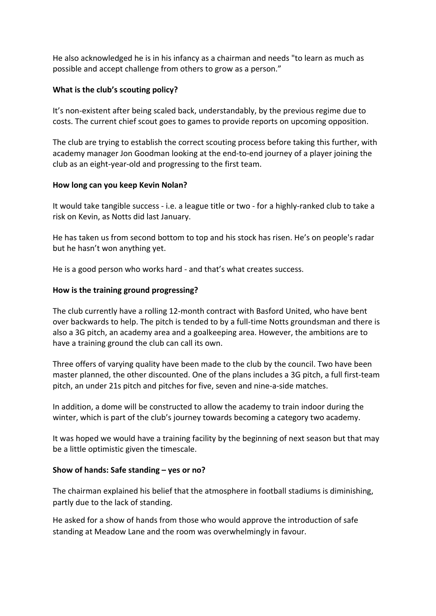He also acknowledged he is in his infancy as a chairman and needs "to learn as much as possible and accept challenge from others to grow as a person."

#### **What is the club's scouting policy?**

It's non-existent after being scaled back, understandably, by the previous regime due to costs. The current chief scout goes to games to provide reports on upcoming opposition.

The club are trying to establish the correct scouting process before taking this further, with academy manager Jon Goodman looking at the end-to-end journey of a player joining the club as an eight-year-old and progressing to the first team.

#### **How long can you keep Kevin Nolan?**

It would take tangible success - i.e. a league title or two - for a highly-ranked club to take a risk on Kevin, as Notts did last January.

He has taken us from second bottom to top and his stock has risen. He's on people's radar but he hasn't won anything yet.

He is a good person who works hard - and that's what creates success.

#### **How is the training ground progressing?**

The club currently have a rolling 12-month contract with Basford United, who have bent over backwards to help. The pitch is tended to by a full-time Notts groundsman and there is also a 3G pitch, an academy area and a goalkeeping area. However, the ambitions are to have a training ground the club can call its own.

Three offers of varying quality have been made to the club by the council. Two have been master planned, the other discounted. One of the plans includes a 3G pitch, a full first-team pitch, an under 21s pitch and pitches for five, seven and nine-a-side matches.

In addition, a dome will be constructed to allow the academy to train indoor during the winter, which is part of the club's journey towards becoming a category two academy.

It was hoped we would have a training facility by the beginning of next season but that may be a little optimistic given the timescale.

## **Show of hands: Safe standing – yes or no?**

The chairman explained his belief that the atmosphere in football stadiums is diminishing, partly due to the lack of standing.

He asked for a show of hands from those who would approve the introduction of safe standing at Meadow Lane and the room was overwhelmingly in favour.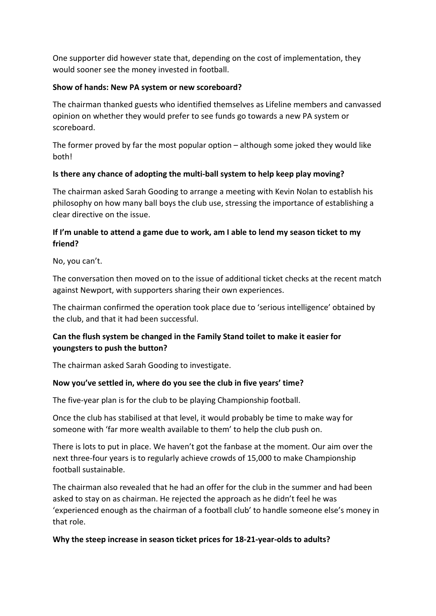One supporter did however state that, depending on the cost of implementation, they would sooner see the money invested in football.

## **Show of hands: New PA system or new scoreboard?**

The chairman thanked guests who identified themselves as Lifeline members and canvassed opinion on whether they would prefer to see funds go towards a new PA system or scoreboard.

The former proved by far the most popular option – although some joked they would like both!

## **Is there any chance of adopting the multi-ball system to help keep play moving?**

The chairman asked Sarah Gooding to arrange a meeting with Kevin Nolan to establish his philosophy on how many ball boys the club use, stressing the importance of establishing a clear directive on the issue.

## **If I'm unable to attend a game due to work, am I able to lend my season ticket to my friend?**

No, you can't.

The conversation then moved on to the issue of additional ticket checks at the recent match against Newport, with supporters sharing their own experiences.

The chairman confirmed the operation took place due to 'serious intelligence' obtained by the club, and that it had been successful.

# **Can the flush system be changed in the Family Stand toilet to make it easier for youngsters to push the button?**

The chairman asked Sarah Gooding to investigate.

## **Now you've settled in, where do you see the club in five years' time?**

The five-year plan is for the club to be playing Championship football.

Once the club has stabilised at that level, it would probably be time to make way for someone with 'far more wealth available to them' to help the club push on.

There is lots to put in place. We haven't got the fanbase at the moment. Our aim over the next three-four years is to regularly achieve crowds of 15,000 to make Championship football sustainable.

The chairman also revealed that he had an offer for the club in the summer and had been asked to stay on as chairman. He rejected the approach as he didn't feel he was 'experienced enough as the chairman of a football club' to handle someone else's money in that role.

## **Why the steep increase in season ticket prices for 18-21-year-olds to adults?**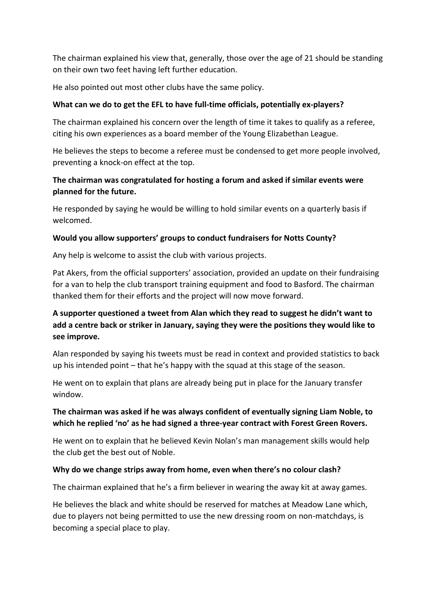The chairman explained his view that, generally, those over the age of 21 should be standing on their own two feet having left further education.

He also pointed out most other clubs have the same policy.

## **What can we do to get the EFL to have full-time officials, potentially ex-players?**

The chairman explained his concern over the length of time it takes to qualify as a referee, citing his own experiences as a board member of the Young Elizabethan League.

He believes the steps to become a referee must be condensed to get more people involved, preventing a knock-on effect at the top.

## **The chairman was congratulated for hosting a forum and asked if similar events were planned for the future.**

He responded by saying he would be willing to hold similar events on a quarterly basis if welcomed.

#### **Would you allow supporters' groups to conduct fundraisers for Notts County?**

Any help is welcome to assist the club with various projects.

Pat Akers, from the official supporters' association, provided an update on their fundraising for a van to help the club transport training equipment and food to Basford. The chairman thanked them for their efforts and the project will now move forward.

# **A supporter questioned a tweet from Alan which they read to suggest he didn't want to add a centre back or striker in January, saying they were the positions they would like to see improve.**

Alan responded by saying his tweets must be read in context and provided statistics to back up his intended point – that he's happy with the squad at this stage of the season.

He went on to explain that plans are already being put in place for the January transfer window.

## **The chairman was asked if he was always confident of eventually signing Liam Noble, to which he replied 'no' as he had signed a three-year contract with Forest Green Rovers.**

He went on to explain that he believed Kevin Nolan's man management skills would help the club get the best out of Noble.

## **Why do we change strips away from home, even when there's no colour clash?**

The chairman explained that he's a firm believer in wearing the away kit at away games.

He believes the black and white should be reserved for matches at Meadow Lane which, due to players not being permitted to use the new dressing room on non-matchdays, is becoming a special place to play.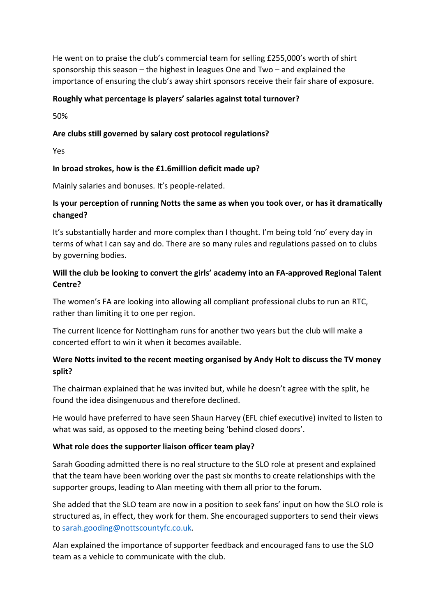He went on to praise the club's commercial team for selling £255,000's worth of shirt sponsorship this season – the highest in leagues One and Two – and explained the importance of ensuring the club's away shirt sponsors receive their fair share of exposure.

## **Roughly what percentage is players' salaries against total turnover?**

50%

## **Are clubs still governed by salary cost protocol regulations?**

Yes

## **In broad strokes, how is the £1.6million deficit made up?**

Mainly salaries and bonuses. It's people-related.

## **Is your perception of running Notts the same as when you took over, or has it dramatically changed?**

It's substantially harder and more complex than I thought. I'm being told 'no' every day in terms of what I can say and do. There are so many rules and regulations passed on to clubs by governing bodies.

## **Will the club be looking to convert the girls' academy into an FA-approved Regional Talent Centre?**

The women's FA are looking into allowing all compliant professional clubs to run an RTC, rather than limiting it to one per region.

The current licence for Nottingham runs for another two years but the club will make a concerted effort to win it when it becomes available.

# **Were Notts invited to the recent meeting organised by Andy Holt to discuss the TV money split?**

The chairman explained that he was invited but, while he doesn't agree with the split, he found the idea disingenuous and therefore declined.

He would have preferred to have seen Shaun Harvey (EFL chief executive) invited to listen to what was said, as opposed to the meeting being 'behind closed doors'.

## **What role does the supporter liaison officer team play?**

Sarah Gooding admitted there is no real structure to the SLO role at present and explained that the team have been working over the past six months to create relationships with the supporter groups, leading to Alan meeting with them all prior to the forum.

She added that the SLO team are now in a position to seek fans' input on how the SLO role is structured as, in effect, they work for them. She encouraged supporters to send their views to [sarah.gooding@nottscountyfc.co.uk.](mailto:sarah.gooding@nottscountyfc.co.uk)

Alan explained the importance of supporter feedback and encouraged fans to use the SLO team as a vehicle to communicate with the club.